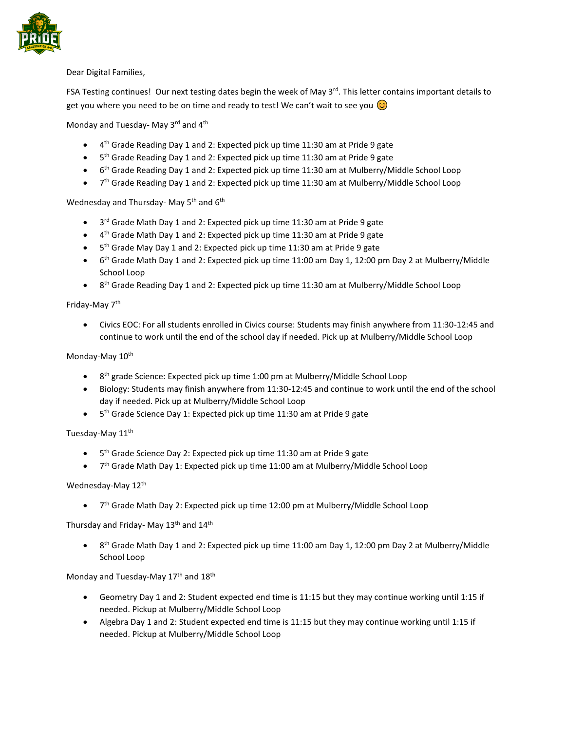

Dear Digital Families,

FSA Testing continues! Our next testing dates begin the week of May 3rd. This letter contains important details to get you where you need to be on time and ready to test! We can't wait to see you  $\odot$ 

Monday and Tuesday- May 3rd and 4<sup>th</sup>

- 4<sup>th</sup> Grade Reading Day 1 and 2: Expected pick up time 11:30 am at Pride 9 gate
- 5<sup>th</sup> Grade Reading Day 1 and 2: Expected pick up time 11:30 am at Pride 9 gate
- 6<sup>th</sup> Grade Reading Day 1 and 2: Expected pick up time 11:30 am at Mulberry/Middle School Loop
- 7<sup>th</sup> Grade Reading Day 1 and 2: Expected pick up time 11:30 am at Mulberry/Middle School Loop

# Wednesday and Thursday- May 5<sup>th</sup> and 6<sup>th</sup>

- 3<sup>rd</sup> Grade Math Day 1 and 2: Expected pick up time 11:30 am at Pride 9 gate
- 4<sup>th</sup> Grade Math Day 1 and 2: Expected pick up time 11:30 am at Pride 9 gate
- 5<sup>th</sup> Grade May Day 1 and 2: Expected pick up time 11:30 am at Pride 9 gate
- $\bullet$  6<sup>th</sup> Grade Math Day 1 and 2: Expected pick up time 11:00 am Day 1, 12:00 pm Day 2 at Mulberry/Middle School Loop
- 8<sup>th</sup> Grade Reading Day 1 and 2: Expected pick up time 11:30 am at Mulberry/Middle School Loop

### Friday-May 7<sup>th</sup>

• Civics EOC: For all students enrolled in Civics course: Students may finish anywhere from 11:30-12:45 and continue to work until the end of the school day if needed. Pick up at Mulberry/Middle School Loop

# Monday-May 10<sup>th</sup>

- 8<sup>th</sup> grade Science: Expected pick up time 1:00 pm at Mulberry/Middle School Loop
- Biology: Students may finish anywhere from 11:30-12:45 and continue to work until the end of the school day if needed. Pick up at Mulberry/Middle School Loop
- 5<sup>th</sup> Grade Science Day 1: Expected pick up time 11:30 am at Pride 9 gate

### Tuesday-May 11<sup>th</sup>

- 5<sup>th</sup> Grade Science Day 2: Expected pick up time 11:30 am at Pride 9 gate
- 7<sup>th</sup> Grade Math Day 1: Expected pick up time 11:00 am at Mulberry/Middle School Loop

### Wednesday-May 12<sup>th</sup>

• 7<sup>th</sup> Grade Math Day 2: Expected pick up time 12:00 pm at Mulberry/Middle School Loop

Thursday and Friday- May 13<sup>th</sup> and 14<sup>th</sup>

• 8<sup>th</sup> Grade Math Day 1 and 2: Expected pick up time 11:00 am Day 1, 12:00 pm Day 2 at Mulberry/Middle School Loop

### Monday and Tuesday-May 17<sup>th</sup> and 18<sup>th</sup>

- Geometry Day 1 and 2: Student expected end time is 11:15 but they may continue working until 1:15 if needed. Pickup at Mulberry/Middle School Loop
- Algebra Day 1 and 2: Student expected end time is 11:15 but they may continue working until 1:15 if needed. Pickup at Mulberry/Middle School Loop